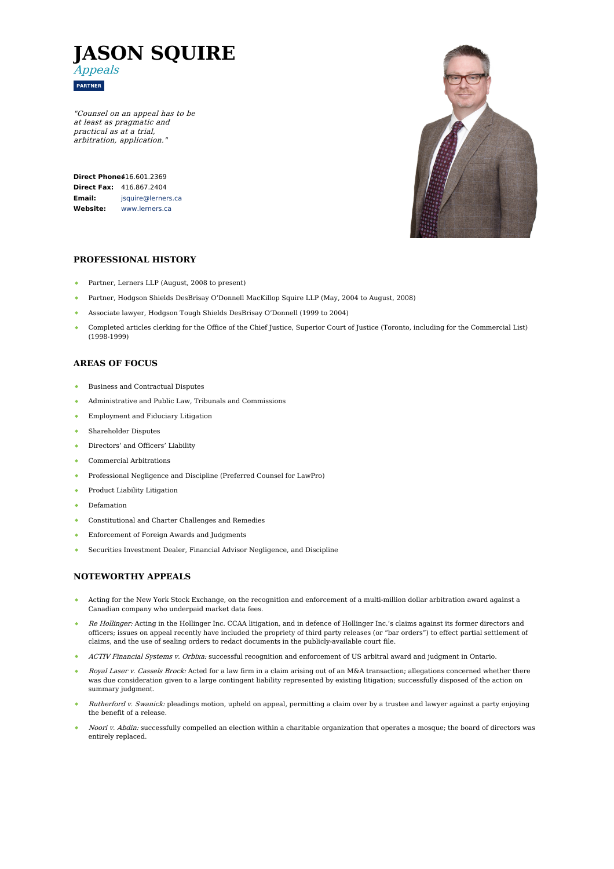

"Counsel on an appeal has to be at least as pragmatic and practical as at <sup>a</sup> trial, arbitration, application."

**Direct Phone:** [416.601.2369](tel:416.601.2369) **Direct Fax:** 416.867.2404 **Email: Website:** [jsquire@lerners.ca](mailto:jsquire@lerners.ca) [www.lerners.ca](https://www.lerners.ca/)



## **PROFESSIONAL HISTORY**

- Partner, Lerners LLP (August, 2008 to present)
- $\ddot{\bullet}$ Partner, Hodgson Shields DesBrisay O'Donnell MacKillop Squire LLP (May, 2004 to August, 2008)
- Associate lawyer, Hodgson Tough Shields DesBrisay O'Donnell (1999 to 2004)
- Completed articles clerking for the Office of the Chief Justice, Superior Court of Justice (Toronto, including for the Commercial List) (1998-1999)

## **AREAS OF FOCUS**

- Business and Contractual Disputes
- Administrative and Public Law, Tribunals and Commissions  $\bullet$
- Employment and Fiduciary Litigation
- $\bullet$ Shareholder Disputes
- Directors' and Officers' Liability
- Commercial Arbitrations
- Professional Negligence and Discipline (Preferred Counsel for LawPro)  $\bullet$
- Product Liability Litigation  $\bullet$  .
- Defamation  $\bullet$
- Constitutional and Charter Challenges and Remedies
- $\bullet$ Enforcement of Foreign Awards and Judgments
- Securities Investment Dealer, Financial Advisor Negligence, and Discipline

# **NOTEWORTHY APPEALS**

- Acting for the New York Stock Exchange, on the recognition and enforcement of a multi-million dollar arbitration award against a Canadian company who underpaid market data fees.
- Re Hollinger: Acting in the Hollinger Inc. CCAA litigation, and in defence of Hollinger Inc.'s claims against its former directors and officers; issues on appeal recently have included the propriety of third party releases (or "bar orders") to effect partial settlement of claims, and the use of sealing orders to redact documents in the publicly-available court file.
- $\Delta$ ACTIV Financial Systems v. Orbixa: successful recognition and enforcement of US arbitral award and judgment in Ontario.
- Royal Laser v. Cassels Brock: Acted for a law firm in a claim arising out of an M&A transaction; allegations concerned whether there was due consideration given to a large contingent liability represented by existing litigation; successfully disposed of the action on summary judgment.
- Rutherford v. Swanick: pleadings motion, upheld on appeal, permitting a claim over by a trustee and lawyer against a party enjoying the benefit of a release.
- Noori v. Abdin: successfully compelled an election within a charitable organization that operates a mosque; the board of directors was entirely replaced.